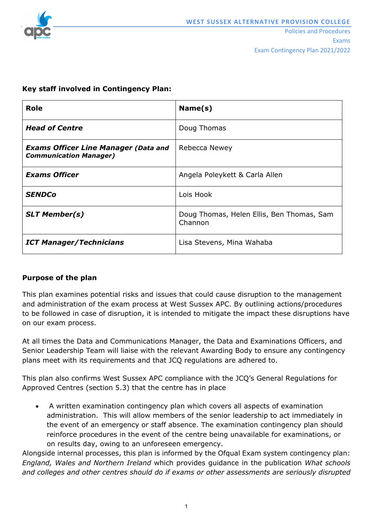

| <b>Role</b>                                                                  | Name(s)                                              |
|------------------------------------------------------------------------------|------------------------------------------------------|
| <b>Head of Centre</b>                                                        | Doug Thomas                                          |
| <b>Exams Officer Line Manager (Data and</b><br><b>Communication Manager)</b> | Rebecca Newey                                        |
| <b>Exams Officer</b>                                                         | Angela Poleykett & Carla Allen                       |
| <b>SENDCo</b>                                                                | Lois Hook                                            |
| <b>SLT Member(s)</b>                                                         | Doug Thomas, Helen Ellis, Ben Thomas, Sam<br>Channon |
| <b>ICT Manager/Technicians</b>                                               | Lisa Stevens, Mina Wahaba                            |

# **Key staff involved in Contingency Plan:**

# **Purpose of the plan**

This plan examines potential risks and issues that could cause disruption to the management and administration of the exam process at West Sussex APC. By outlining actions/procedures to be followed in case of disruption, it is intended to mitigate the impact these disruptions have on our exam process.

At all times the Data and Communications Manager, the Data and Examinations Officers, and Senior Leadership Team will liaise with the relevant Awarding Body to ensure any contingency plans meet with its requirements and that JCQ regulations are adhered to.

This plan also confirms West Sussex APC compliance with the JCQ's General Regulations for Approved Centres (section 5.3) that the centre has in place

• A written examination contingency plan which covers all aspects of examination administration. This will allow members of the senior leadership to act immediately in the event of an emergency or staff absence. The examination contingency plan should reinforce procedures in the event of the centre being unavailable for examinations, or on results day, owing to an unforeseen emergency.

Alongside internal processes, this plan is informed by the Ofqual Exam system contingency plan: *England, Wales and Northern Ireland* which provides guidance in the publication *What schools and colleges and other centres should do if exams or other assessments are seriously disrupted*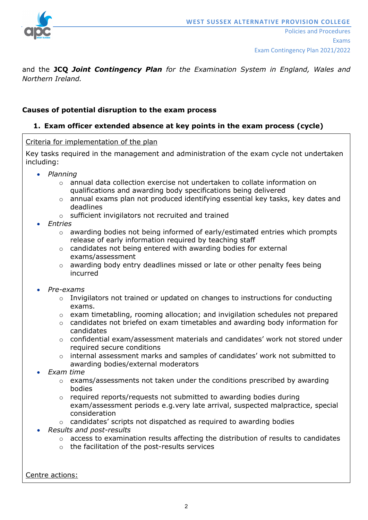

and the **JCQ** *Joint Contingency Plan for the Examination System in England, Wales and Northern Ireland.*

### **Causes of potential disruption to the exam process**

# **1. Exam officer extended absence at key points in the exam process (cycle)**

Criteria for implementation of the plan

Key tasks required in the management and administration of the exam cycle not undertaken including:

- *Planning*
	- o annual data collection exercise not undertaken to collate information on qualifications and awarding body specifications being delivered
	- o annual exams plan not produced identifying essential key tasks, key dates and deadlines
	- o sufficient invigilators not recruited and trained
- *Entries*
	- $\circ$  awarding bodies not being informed of early/estimated entries which prompts release of early information required by teaching staff
	- o candidates not being entered with awarding bodies for external exams/assessment
	- o awarding body entry deadlines missed or late or other penalty fees being incurred

#### • *Pre-exams*

- $\circ$  Invigilators not trained or updated on changes to instructions for conducting exams.
- o exam timetabling, rooming allocation; and invigilation schedules not prepared
- $\circ$  candidates not briefed on exam timetables and awarding body information for candidates
- $\circ$  confidential exam/assessment materials and candidates' work not stored under required secure conditions
- o internal assessment marks and samples of candidates' work not submitted to awarding bodies/external moderators
- *Exam time*
	- o exams/assessments not taken under the conditions prescribed by awarding bodies
	- $\circ$  required reports/requests not submitted to awarding bodies during exam/assessment periods e.g.very late arrival, suspected malpractice, special consideration
	- o candidates' scripts not dispatched as required to awarding bodies
- *Results and post-results*
	- $\circ$  access to examination results affecting the distribution of results to candidates
	- o the facilitation of the post-results services

Centre actions: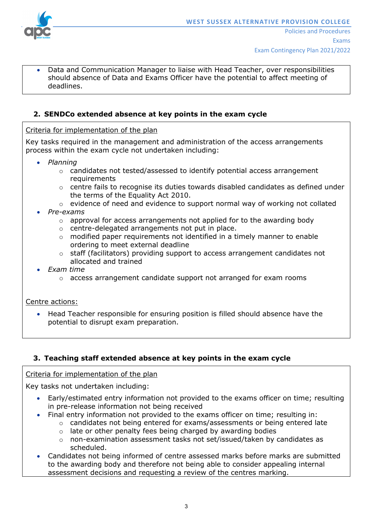

• Data and Communication Manager to liaise with Head Teacher, over responsibilities should absence of Data and Exams Officer have the potential to affect meeting of deadlines.

# **2. SENDCo extended absence at key points in the exam cycle**

Criteria for implementation of the plan

Key tasks required in the management and administration of the access arrangements process within the exam cycle not undertaken including:

- *Planning*
	- o candidates not tested/assessed to identify potential access arrangement requirements
	- $\circ$  centre fails to recognise its duties towards disabled candidates as defined under the terms of the Equality Act 2010.
	- o evidence of need and evidence to support normal way of working not collated
- *Pre-exams*
	- $\circ$  approval for access arrangements not applied for to the awarding body
	- o centre-delegated arrangements not put in place.
	- o modified paper requirements not identified in a timely manner to enable ordering to meet external deadline
	- o staff (facilitators) providing support to access arrangement candidates not allocated and trained
- *Exam time*
	- o access arrangement candidate support not arranged for exam rooms

Centre actions:

• Head Teacher responsible for ensuring position is filled should absence have the potential to disrupt exam preparation.

# **3. Teaching staff extended absence at key points in the exam cycle**

#### Criteria for implementation of the plan

Key tasks not undertaken including:

- Early/estimated entry information not provided to the exams officer on time; resulting in pre-release information not being received
- Final entry information not provided to the exams officer on time; resulting in:
	- $\circ$  candidates not being entered for exams/assessments or being entered late
	- $\circ$  late or other penalty fees being charged by awarding bodies
	- o non-examination assessment tasks not set/issued/taken by candidates as scheduled.
- Candidates not being informed of centre assessed marks before marks are submitted to the awarding body and therefore not being able to consider appealing internal assessment decisions and requesting a review of the centres marking.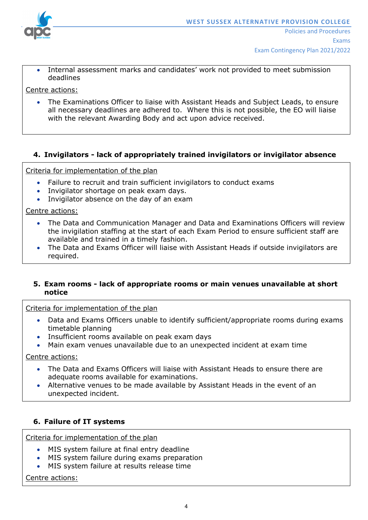

- Exam Contingency Plan 2021/2022
- Internal assessment marks and candidates' work not provided to meet submission deadlines

Centre actions:

• The Examinations Officer to liaise with Assistant Heads and Subject Leads, to ensure all necessary deadlines are adhered to. Where this is not possible, the EO will liaise with the relevant Awarding Body and act upon advice received.

# **4. Invigilators - lack of appropriately trained invigilators or invigilator absence**

Criteria for implementation of the plan

- Failure to recruit and train sufficient invigilators to conduct exams
- Invigilator shortage on peak exam days.
- Invigilator absence on the day of an exam

Centre actions:

- The Data and Communication Manager and Data and Examinations Officers will review the invigilation staffing at the start of each Exam Period to ensure sufficient staff are available and trained in a timely fashion.
- The Data and Exams Officer will liaise with Assistant Heads if outside invigilators are required.

### **5. Exam rooms - lack of appropriate rooms or main venues unavailable at short notice**

Criteria for implementation of the plan

- Data and Exams Officers unable to identify sufficient/appropriate rooms during exams timetable planning
- Insufficient rooms available on peak exam days
- Main exam venues unavailable due to an unexpected incident at exam time

Centre actions:

- The Data and Exams Officers will liaise with Assistant Heads to ensure there are adequate rooms available for examinations.
- Alternative venues to be made available by Assistant Heads in the event of an unexpected incident.

### **6. Failure of IT systems**

Criteria for implementation of the plan

- MIS system failure at final entry deadline
- MIS system failure during exams preparation
- MIS system failure at results release time

Centre actions: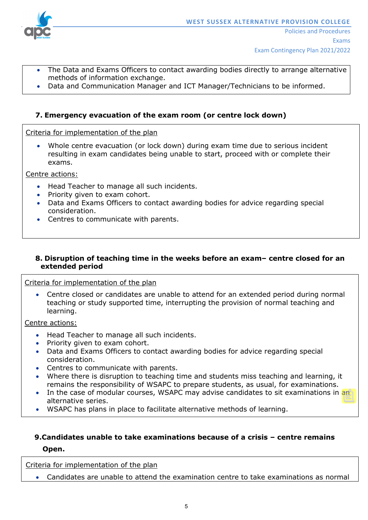

- The Data and Exams Officers to contact awarding bodies directly to arrange alternative methods of information exchange.
- Data and Communication Manager and ICT Manager/Technicians to be informed.

# **7. Emergency evacuation of the exam room (or centre lock down)**

Criteria for implementation of the plan

• Whole centre evacuation (or lock down) during exam time due to serious incident resulting in exam candidates being unable to start, proceed with or complete their exams.

Centre actions:

- Head Teacher to manage all such incidents.
- Priority given to exam cohort.
- Data and Exams Officers to contact awarding bodies for advice regarding special consideration.
- Centres to communicate with parents.

#### **8. Disruption of teaching time in the weeks before an exam– centre closed for an extended period**

#### Criteria for implementation of the plan

• Centre closed or candidates are unable to attend for an extended period during normal teaching or study supported time, interrupting the provision of normal teaching and learning.

Centre actions:

- Head Teacher to manage all such incidents.
- Priority given to exam cohort.
- Data and Exams Officers to contact awarding bodies for advice regarding special consideration.
- Centres to communicate with parents.
- Where there is disruption to teaching time and students miss teaching and learning, it remains the responsibility of WSAPC to prepare students, as usual, for examinations.
- In the case of modular courses, WSAPC may advise candidates to sit examinations in an alternative series.
- WSAPC has plans in place to facilitate alternative methods of learning.

# **9.Candidates unable to take examinations because of a crisis – centre remains**

#### **Open.**

Criteria for implementation of the plan

• Candidates are unable to attend the examination centre to take examinations as normal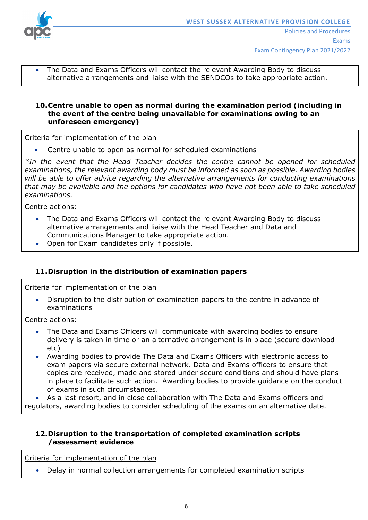

• The Data and Exams Officers will contact the relevant Awarding Body to discuss alternative arrangements and liaise with the SENDCOs to take appropriate action.

### **10.Centre unable to open as normal during the examination period (including in the event of the centre being unavailable for examinations owing to an unforeseen emergency)**

Criteria for implementation of the plan

• Centre unable to open as normal for scheduled examinations

*\*In the event that the Head Teacher decides the centre cannot be opened for scheduled examinations, the relevant awarding body must be informed as soon as possible. Awarding bodies will be able to offer advice regarding the alternative arrangements for conducting examinations that may be available and the options for candidates who have not been able to take scheduled examinations.* 

Centre actions:

- The Data and Exams Officers will contact the relevant Awarding Body to discuss alternative arrangements and liaise with the Head Teacher and Data and Communications Manager to take appropriate action.
- Open for Exam candidates only if possible.

# **11.Disruption in the distribution of examination papers**

Criteria for implementation of the plan

• Disruption to the distribution of examination papers to the centre in advance of examinations

Centre actions:

- The Data and Exams Officers will communicate with awarding bodies to ensure delivery is taken in time or an alternative arrangement is in place (secure download etc)
- Awarding bodies to provide The Data and Exams Officers with electronic access to exam papers via secure external network. Data and Exams officers to ensure that copies are received, made and stored under secure conditions and should have plans in place to facilitate such action. Awarding bodies to provide guidance on the conduct of exams in such circumstances.

• As a last resort, and in close collaboration with The Data and Exams officers and regulators, awarding bodies to consider scheduling of the exams on an alternative date.

#### **12.Disruption to the transportation of completed examination scripts /assessment evidence**

Criteria for implementation of the plan

• Delay in normal collection arrangements for completed examination scripts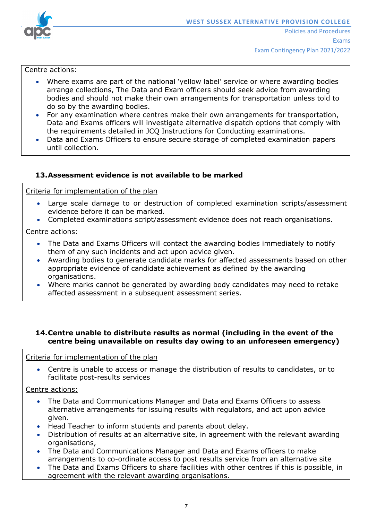

#### Centre actions:

- Where exams are part of the national 'yellow label' service or where awarding bodies arrange collections, The Data and Exam officers should seek advice from awarding bodies and should not make their own arrangements for transportation unless told to do so by the awarding bodies.
- For any examination where centres make their own arrangements for transportation, Data and Exams officers will investigate alternative dispatch options that comply with the requirements detailed in JCQ Instructions for Conducting examinations.
- Data and Exams Officers to ensure secure storage of completed examination papers until collection.

#### **13.Assessment evidence is not available to be marked**

Criteria for implementation of the plan

- Large scale damage to or destruction of completed examination scripts/assessment evidence before it can be marked.
- Completed examinations script/assessment evidence does not reach organisations.

Centre actions:

- The Data and Exams Officers will contact the awarding bodies immediately to notify them of any such incidents and act upon advice given.
- Awarding bodies to generate candidate marks for affected assessments based on other appropriate evidence of candidate achievement as defined by the awarding organisations.
- Where marks cannot be generated by awarding body candidates may need to retake affected assessment in a subsequent assessment series.

#### **14.Centre unable to distribute results as normal (including in the event of the centre being unavailable on results day owing to an unforeseen emergency)**

#### Criteria for implementation of the plan

• Centre is unable to access or manage the distribution of results to candidates, or to facilitate post-results services

#### Centre actions:

- The Data and Communications Manager and Data and Exams Officers to assess alternative arrangements for issuing results with regulators, and act upon advice given.
- Head Teacher to inform students and parents about delay.
- Distribution of results at an alternative site, in agreement with the relevant awarding organisations,
- The Data and Communications Manager and Data and Exams officers to make arrangements to co-ordinate access to post results service from an alternative site
- The Data and Exams Officers to share facilities with other centres if this is possible, in agreement with the relevant awarding organisations.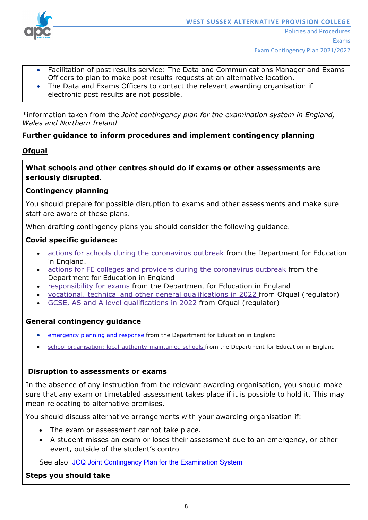

- Facilitation of post results service: The Data and Communications Manager and Exams Officers to plan to make post results requests at an alternative location.
- The Data and Exams Officers to contact the relevant awarding organisation if electronic post results are not possible.

\*information taken from the *Joint contingency plan for the examination system in England, Wales and Northern Ireland*

## **Further guidance to inform procedures and implement contingency planning**

### **Ofqual**

**What schools and other centres should do if exams or other assessments are seriously disrupted.**

## **Contingency planning**

You should prepare for possible disruption to exams and other assessments and make sure staff are aware of these plans.

When drafting contingency plans you should consider the following guidance.

## **Covid specific guidance:**

- actions for schools during the [coronavirus](https://www.gov.uk/government/publications/actions-for-schools-during-the-coronavirus-outbreak) outbreak from the Department for Education in England.
- actions for FE colleges and providers during the [coronavirus](https://www.gov.uk/government/publications/coronavirus-covid-19-maintaining-further-education-provision) outbreak from the Department for Education in England
- [responsibility](https://www.gov.uk/government/publications/responsibility-for-autumn-gcse-as-and-a-level-exam-series) for exams from the Department for Education in England
- vocational, technical and other general [qualifications](https://www.gov.uk/government/collections/vocational-technical-and-other-general-qualifications-in-2022) in 2022 from Ofqual (regulator)
- GCSE, AS and A level [qualifications](https://www.gov.uk/government/collections/gcse-as-and-a-level-qualifications-in-2022) in 2022 from Ofqual (regulator)

# **General contingency guidance**

- [emergency](https://www.gov.uk/guidance/emergencies-and-severe-weather-schools-and-early-years-settings) planning and response from the Department for Education in England
- school organisation: [local-authority-maintained](https://www.gov.uk/government/publications/school-organisation-maintained-schools) schools from the Department for Education in England

### **Disruption to assessments or exams**

In the absence of any instruction from the relevant awarding organisation, you should make sure that any exam or timetabled assessment takes place if it is possible to hold it. This may mean relocating to alternative premises.

You should discuss alternative arrangements with your awarding organisation if:

- The exam or assessment cannot take place.
- A student misses an exam or loses their assessment due to an emergency, or other event, outside of the student's control

See also JCQ Joint [Contingency](https://www.jcq.org.uk/exams-office/other-documents/jcq-joint-contingency-plan/) Plan for the Examination System

### **Steps you should take**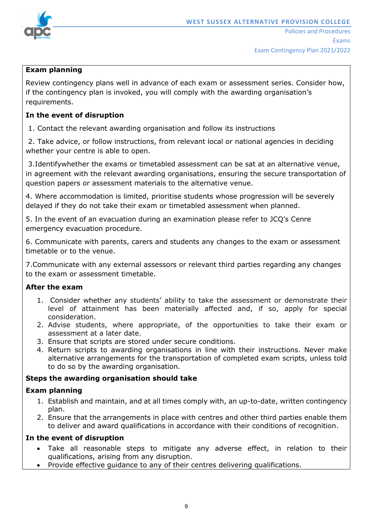

# **Exam planning**

Review contingency plans well in advance of each exam or assessment series. Consider how, if the contingency plan is invoked, you will comply with the awarding organisation's requirements.

## **In the event of disruption**

1. Contact the relevant awarding organisation and follow its instructions

2. Take advice, or follow instructions, from relevant local or national agencies in deciding whether your centre is able to open.

3.Identifywhether the exams or timetabled assessment can be sat at an alternative venue, in agreement with the relevant awarding organisations, ensuring the secure transportation of question papers or assessment materials to the alternative venue.

4. Where accommodation is limited, prioritise students whose progression will be severely delayed if they do not take their exam or timetabled assessment when planned.

5. In the event of an evacuation during an examination please refer to JCQ's Cenre emergency evacuation procedure.

6. Communicate with parents, carers and students any changes to the exam or assessment timetable or to the venue.

7.Communicate with any external assessors or relevant third parties regarding any changes to the exam or assessment timetable.

### **After the exam**

- 1. Consider whether any students' ability to take the assessment or demonstrate their level of attainment has been materially affected and, if so, apply for special consideration.
- 2. Advise students, where appropriate, of the opportunities to take their exam or assessment at a later date.
- 3. Ensure that scripts are stored under secure conditions.
- 4. Return scripts to awarding organisations in line with their instructions. Never make alternative arrangements for the transportation of completed exam scripts, unless told to do so by the awarding organisation.

# **Steps the awarding organisation should take**

### **Exam planning**

- 1. Establish and maintain, and at all times comply with, an up-to-date, written contingency plan.
- 2. Ensure that the arrangements in place with centres and other third parties enable them to deliver and award qualifications in accordance with their conditions of recognition.

### **In the event of disruption**

- Take all reasonable steps to mitigate any adverse effect, in relation to their qualifications, arising from any disruption.
- Provide effective guidance to any of their centres delivering qualifications.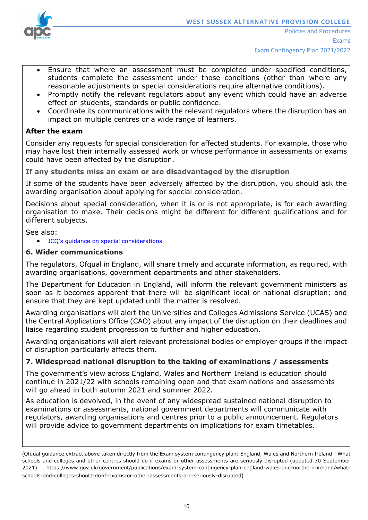

- Ensure that where an assessment must be completed under specified conditions, students complete the assessment under those conditions (other than where any reasonable adjustments or special considerations require alternative conditions).
- Promptly notify the relevant regulators about any event which could have an adverse effect on students, standards or public confidence.
- Coordinate its communications with the relevant regulators where the disruption has an impact on multiple centres or a wide range of learners.

# **After the exam**

Consider any requests for special consideration for affected students. For example, those who may have lost their internally assessed work or whose performance in assessments or exams could have been affected by the disruption.

**If any students miss an exam or are disadvantaged by the disruption**

If some of the students have been adversely affected by the disruption, you should ask the awarding organisation about applying for special consideration.

Decisions about special consideration, when it is or is not appropriate, is for each awarding organisation to make. Their decisions might be different for different qualifications and for different subjects.

See also:

• JCQ's guidance on special [considerations](https://www.jcq.org.uk/exams-office/access-arrangements-and-special-consideration/regulations-and-guidance)

### **6. Wider communications**

The regulators, [Ofqual](https://www.gov.uk/ofqual) in England, will share timely and accurate information, as required, with awarding organisations, government departments and other stakeholders.

The [Department](https://www.gov.uk/government/organisations/department-for-education) for Education in England, will inform the relevant government ministers as soon as it becomes apparent that there will be significant local or national disruption; and ensure that they are kept updated until the matter is resolved.

Awarding organisations will alert the [Universities](https://www.ucas.com/) and Colleges Admissions Service (UCAS) and the Central [Applications](http://www.cao.ie/) Office (CAO) about any impact of the disruption on their deadlines and liaise regarding student progression to further and higher education.

Awarding organisations will alert relevant professional bodies or employer groups if the impact of disruption particularly affects them.

### **7. Widespread national disruption to the taking of examinations / assessments**

The government's view across England, Wales and Northern Ireland is education should continue in 2021/22 with schools remaining open and that examinations and assessments will go ahead in both autumn 2021 and summer 2022.

As education is devolved, in the event of any widespread sustained national disruption to examinations or assessments, national government departments will communicate with regulators, awarding organisations and centres prior to a public announcement. Regulators will provide advice to government departments on implications for exam timetables.

(Ofqual guidance extract above taken directly from the Exam system contingency plan: England, Wales and Northern Ireland - What schools and colleges and other centres should do if exams or other assessments are seriously disrupted (updated 30 September 2021) [https://www.gov.uk/government/publications/exam-system-contingency-plan-england-wales-and-northern-ireland/what](https://www.gov.uk/government/publications/exam-system-contingency-plan-england-wales-and-northern-ireland/what-schools-and-colleges-should-do-if-exams-or-other-assessments-are-seriously-disrupted)[schools-and-colleges-should-do-if-exams-or-other-assessments-are-seriously-disrupted](https://www.gov.uk/government/publications/exam-system-contingency-plan-england-wales-and-northern-ireland/what-schools-and-colleges-should-do-if-exams-or-other-assessments-are-seriously-disrupted))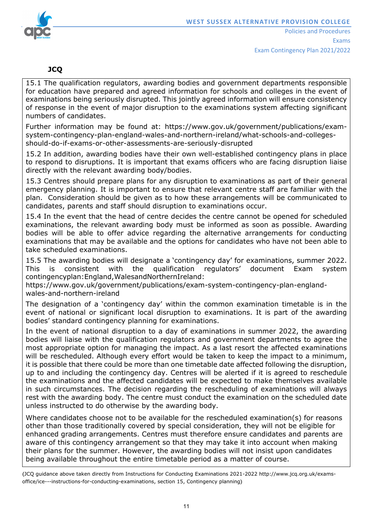

# **JCQ**

15.1 The qualification regulators, awarding bodies and government departments responsible for education have prepared and agreed information for schools and colleges in the event of examinations being seriously disrupted. This jointly agreed information will ensure consistency of response in the event of major disruption to the examinations system affecting significant numbers of candidates.

Further information may be found at: [https://www.gov.uk/government/publications/exam](https://www.gov.uk/government/publications/exam-system-contingency-plan-england-wales-and-northern-ireland/what-schools-and-colleges-should-do-if-exams-or-other-assessments-are-seriously-disrupted)[system-contingency-plan-england-wales-and-northern-ireland/what-schools-and-colleges](https://www.gov.uk/government/publications/exam-system-contingency-plan-england-wales-and-northern-ireland/what-schools-and-colleges-should-do-if-exams-or-other-assessments-are-seriously-disrupted)[should-do-if-exams-or-other-assessments-are-seriously-disrupted](https://www.gov.uk/government/publications/exam-system-contingency-plan-england-wales-and-northern-ireland/what-schools-and-colleges-should-do-if-exams-or-other-assessments-are-seriously-disrupted)

15.2 In addition, awarding bodies have their own well-established contingency plans in place to respond to disruptions. It is important that exams officers who are facing disruption liaise directly with the relevant awarding body/bodies.

15.3 Centres should prepare plans for any disruption to examinations as part of their general emergency planning. It is important to ensure that relevant centre staff are familiar with the plan. Consideration should be given as to how these arrangements will be communicated to candidates, parents and staff should disruption to examinations occur.

15.4 In the event that the head of centre decides the centre cannot be opened for scheduled examinations, the relevant awarding body must be informed as soon as possible. Awarding bodies will be able to offer advice regarding the alternative arrangements for conducting examinations that may be available and the options for candidates who have not been able to take scheduled examinations.

15.5 The awarding bodies will designate a 'contingency day' for examinations, summer 2022. This is consistent with the qualification regulators' document Exam system contingencyplan:England,WalesandNorthernIreland:

[https://www.gov.uk/government/publications/exam-system-contingency-plan-england](https://www.gov.uk/government/publications/exam-system-contingency-plan-england-wales-and-northern-ireland)[wales-and-northern-ireland](https://www.gov.uk/government/publications/exam-system-contingency-plan-england-wales-and-northern-ireland)

The designation of a 'contingency day' within the common examination timetable is in the event of national or significant local disruption to examinations. It is part of the awarding bodies' standard contingency planning for examinations.

In the event of national disruption to a day of examinations in summer 2022, the awarding bodies will liaise with the qualification regulators and government departments to agree the most appropriate option for managing the impact. As a last resort the affected examinations will be rescheduled. Although every effort would be taken to keep the impact to a minimum, it is possible that there could be more than one timetable date affected following the disruption, up to and including the contingency day. Centres will be alerted if it is agreed to reschedule the examinations and the affected candidates will be expected to make themselves available in such circumstances. The decision regarding the rescheduling of examinations will always rest with the awarding body. The centre must conduct the examination on the scheduled date unless instructed to do otherwise by the awarding body.

Where candidates choose not to be available for the rescheduled examination(s) for reasons other than those traditionally covered by special consideration, they will not be eligible for enhanced grading arrangements. Centres must therefore ensure candidates and parents are aware of this contingency arrangement so that they may take it into account when making their plans for the summer. However, the awarding bodies will not insist upon candidates being available throughout the entire timetable period as a matter of course.

(JCQ guidance above taken directly from Instructions for Conducting Examinations 2021-2022 [http://www.jcq.org.uk/exams](http://www.jcq.org.uk/exams-office/ice---instructions-for-conducting-examinations)[office/ice---instructions-for-conducting-examinations,](http://www.jcq.org.uk/exams-office/ice---instructions-for-conducting-examinations) section 15, Contingency planning)